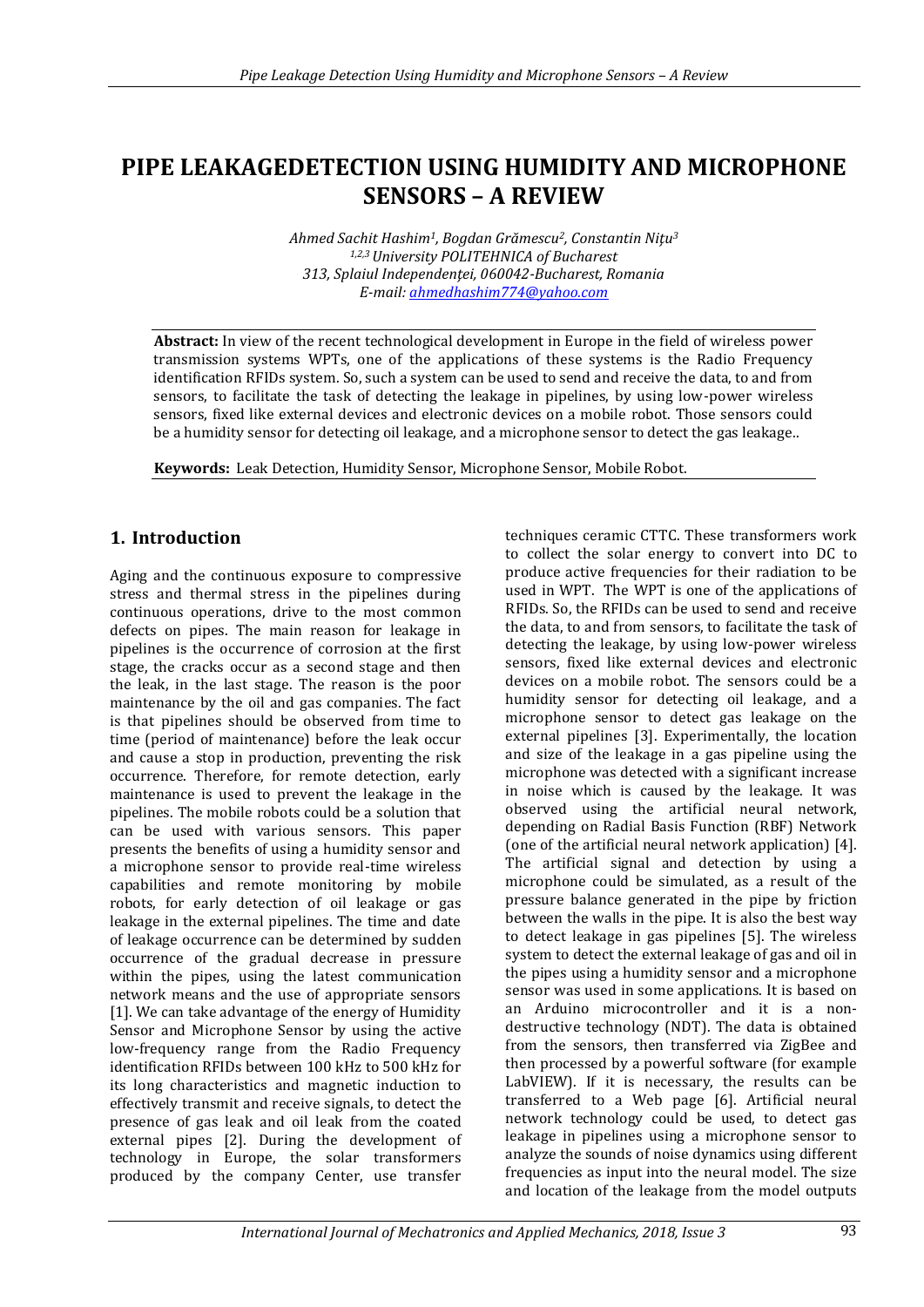# **PIPE LEAKAGEDETECTION USING HUMIDITY AND MICROPHONE SENSORS – A REVIEW**

*Ahmed Sachit Hashim1, Bogdan Grămescu2, Constantin Niţu<sup>3</sup> 1,2,3 University POLITEHNICA of Bucharest 313, Splaiul Independenţei, 060042-Bucharest, Romania E-mail: [ahmedhashim774@yahoo.com](mailto:ahmedhashim774@yahoo.com)*

**Abstract:** In view of the recent technological development in Europe in the field of wireless power transmission systems WPTs, one of the applications of these systems is the Radio Frequency identification RFIDs system. So, such a system can be used to send and receive the data, to and from sensors, to facilitate the task of detecting the leakage in pipelines, by using low-power wireless sensors, fixed like external devices and electronic devices on a mobile robot. Those sensors could be a humidity sensor for detecting oil leakage, and a microphone sensor to detect the gas leakage..

**Keywords:** Leak Detection, Humidity Sensor, Microphone Sensor, Mobile Robot.

# **1. Introduction**

Aging and the continuous exposure to compressive stress and thermal stress in the pipelines during continuous operations, drive to the most common defects on pipes. The main reason for leakage in pipelines is the occurrence of corrosion at the first stage, the cracks occur as a second stage and then the leak, in the last stage. The reason is the poor maintenance by the oil and gas companies. The fact is that pipelines should be observed from time to time (period of maintenance) before the leak occur and cause a stop in production, preventing the risk occurrence. Therefore, for remote detection, early maintenance is used to prevent the leakage in the pipelines. The mobile robots could be a solution that can be used with various sensors. This paper presents the benefits of using a humidity sensor and a microphone sensor to provide real-time wireless capabilities and remote monitoring by mobile robots, for early detection of oil leakage or gas leakage in the external pipelines. The time and date of leakage occurrence can be determined by sudden occurrence of the gradual decrease in pressure within the pipes, using the latest communication network means and the use of appropriate sensors [1]. We can take advantage of the energy of Humidity Sensor and Microphone Sensor by using the active low-frequency range from the Radio Frequency identification RFIDs between 100 kHz to 500 kHz for its long characteristics and magnetic induction to effectively transmit and receive signals, to detect the presence of gas leak and oil leak from the coated external pipes [2]. During the development of technology in Europe, the solar transformers produced by the company Center, use transfer

techniques ceramic CTTC. These transformers work to collect the solar energy to convert into DC to produce active frequencies for their radiation to be used in WPT. The WPT is one of the applications of RFIDs. So, the RFIDs can be used to send and receive the data, to and from sensors, to facilitate the task of detecting the leakage, by using low-power wireless sensors, fixed like external devices and electronic devices on a mobile robot. The sensors could be a humidity sensor for detecting oil leakage, and a microphone sensor to detect gas leakage on the external pipelines [3]. Experimentally, the location and size of the leakage in a gas pipeline using the microphone was detected with a significant increase in noise which is caused by the leakage. It was observed using the artificial neural network, depending on Radial Basis Function (RBF) Network (one of the artificial neural network application) [4]. The artificial signal and detection by using a microphone could be simulated, as a result of the pressure balance generated in the pipe by friction between the walls in the pipe. It is also the best way to detect leakage in gas pipelines [5]. The wireless system to detect the external leakage of gas and oil in the pipes using a humidity sensor and a microphone sensor was used in some applications. It is based on an Arduino microcontroller and it is a nondestructive technology (NDT). The data is obtained from the sensors, then transferred via ZigBee and then processed by a powerful software (for example LabVIEW). If it is necessary, the results can be transferred to a Web page [6]. Artificial neural network technology could be used, to detect gas leakage in pipelines using a microphone sensor to analyze the sounds of noise dynamics using different frequencies as input into the neural model. The size and location of the leakage from the model outputs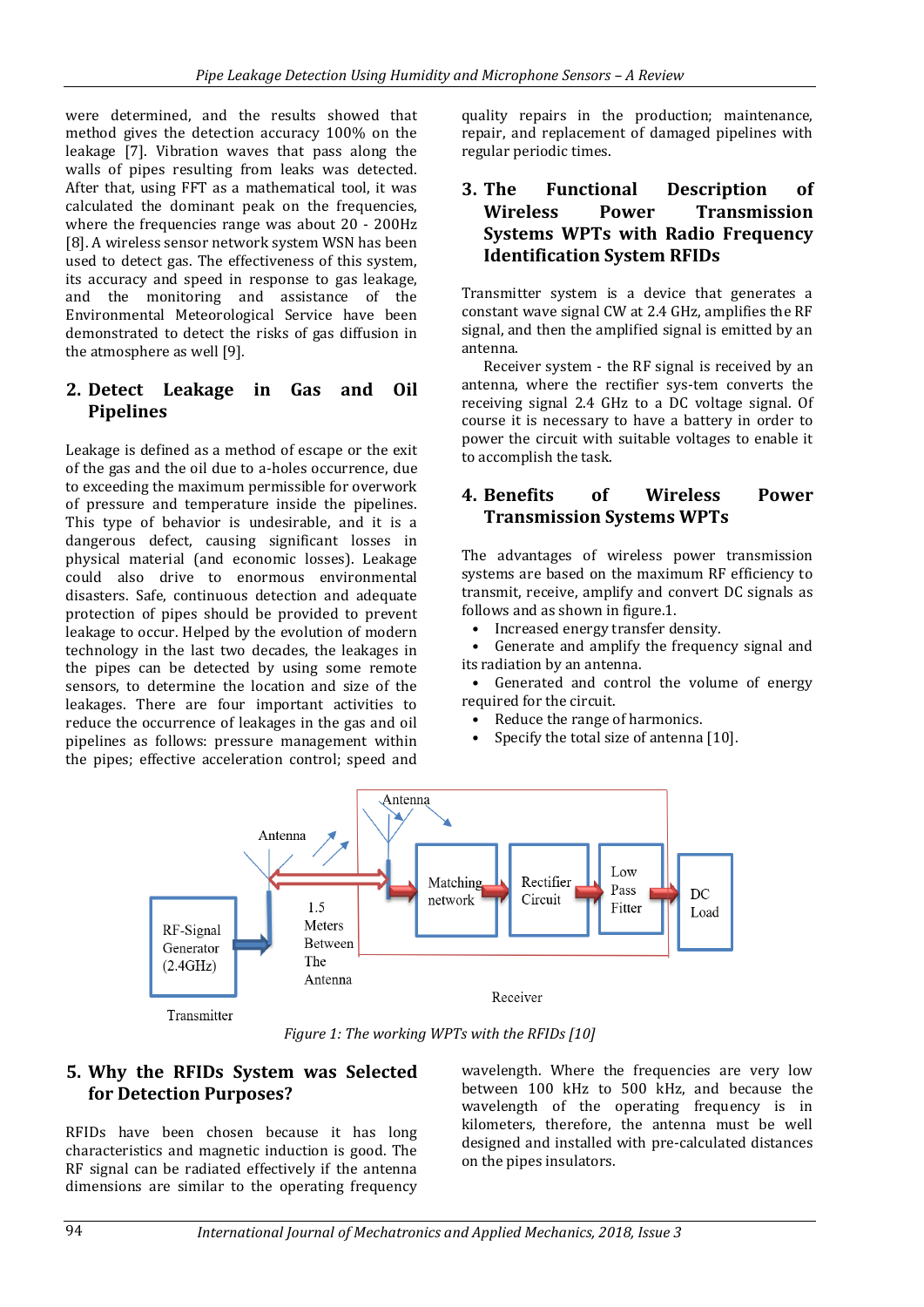were determined, and the results showed that method gives the detection accuracy 100% on the leakage [7]. Vibration waves that pass along the walls of pipes resulting from leaks was detected. After that, using FFT as a mathematical tool, it was calculated the dominant peak on the frequencies, where the frequencies range was about 20 - 200Hz [8]. A wireless sensor network system WSN has been used to detect gas. The effectiveness of this system, its accuracy and speed in response to gas leakage, and the monitoring and assistance of the Environmental Meteorological Service have been demonstrated to detect the risks of gas diffusion in the atmosphere as well [9].

# **2. Detect Leakage in Gas and Oil Pipelines**

Leakage is defined as a method of escape or the exit of the gas and the oil due to a-holes occurrence, due to exceeding the maximum permissible for overwork of pressure and temperature inside the pipelines. This type of behavior is undesirable, and it is a dangerous defect, causing significant losses in physical material (and economic losses). Leakage could also drive to enormous environmental disasters. Safe, continuous detection and adequate protection of pipes should be provided to prevent leakage to occur. Helped by the evolution of modern technology in the last two decades, the leakages in the pipes can be detected by using some remote sensors, to determine the location and size of the leakages. There are four important activities to reduce the occurrence of leakages in the gas and oil pipelines as follows: pressure management within the pipes; effective acceleration control; speed and

quality repairs in the production; maintenance, repair, and replacement of damaged pipelines with regular periodic times.

## **3. The Functional Description of Wireless Power Transmission Systems WPTs with Radio Frequency Identification System RFIDs**

Transmitter system is a device that generates a constant wave signal CW at 2.4 GHz, amplifies the RF signal, and then the amplified signal is emitted by an antenna.

Receiver system - the RF signal is received by an antenna, where the rectifier sys-tem converts the receiving signal 2.4 GHz to a DC voltage signal. Of course it is necessary to have a battery in order to power the circuit with suitable voltages to enable it to accomplish the task.

### **4. Benefits of Wireless Power Transmission Systems WPTs**

The advantages of wireless power transmission systems are based on the maximum RF efficiency to transmit, receive, amplify and convert DC signals as follows and as shown in figure.1.

• Increased energy transfer density.

• Generate and amplify the frequency signal and its radiation by an antenna.

• Generated and control the volume of energy required for the circuit.

- Reduce the range of harmonics.
- Specify the total size of antenna [10].



*Figure 1: The working WPTs with the RFIDs [10]*

### **5. Why the RFIDs System was Selected for Detection Purposes?**

RFIDs have been chosen because it has long characteristics and magnetic induction is good. The RF signal can be radiated effectively if the antenna dimensions are similar to the operating frequency wavelength. Where the frequencies are very low between 100 kHz to 500 kHz, and because the wavelength of the operating frequency is in kilometers, therefore, the antenna must be well designed and installed with pre-calculated distances on the pipes insulators.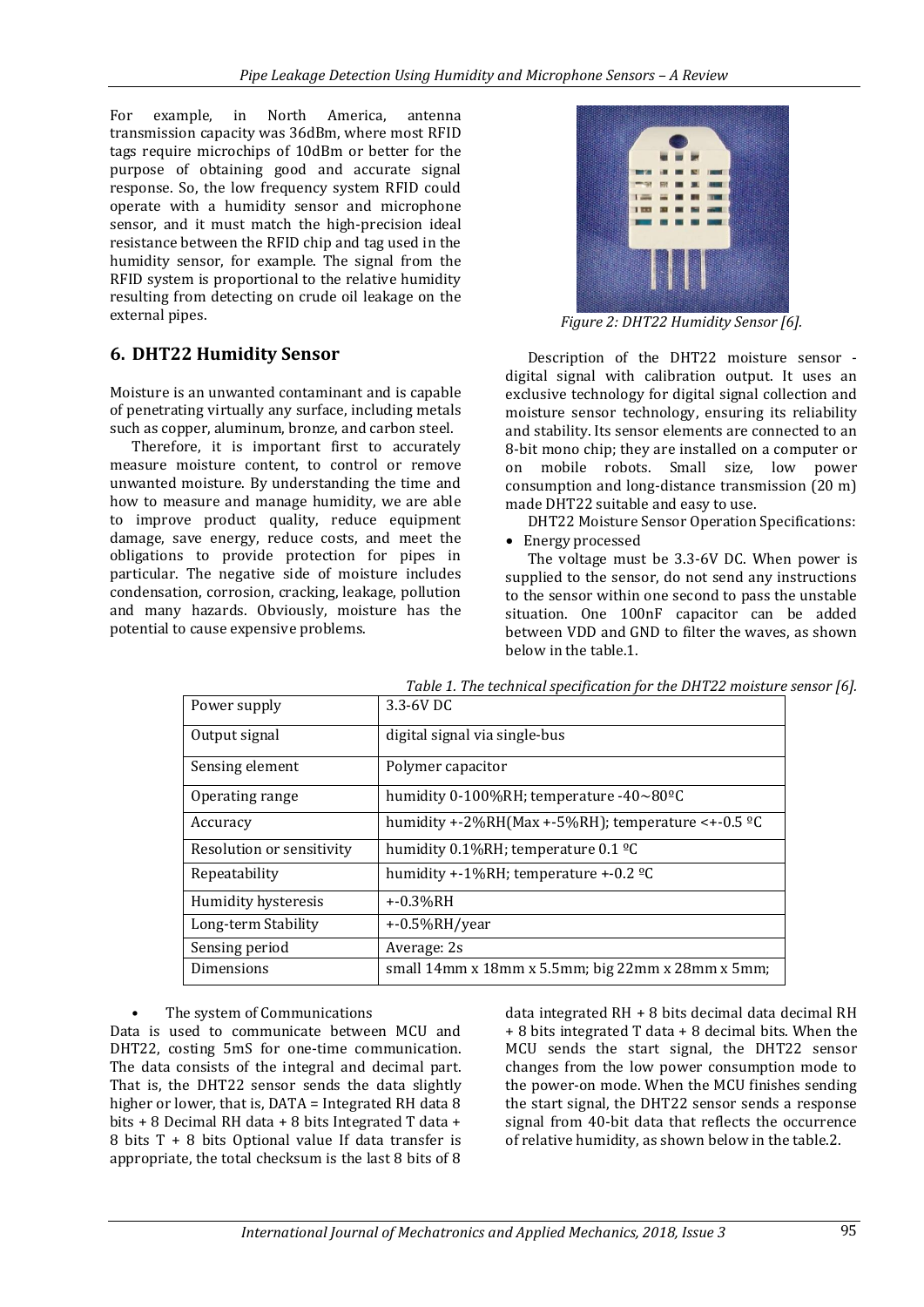For example, in North America, antenna transmission capacity was 36dBm, where most RFID tags require microchips of 10dBm or better for the purpose of obtaining good and accurate signal response. So, the low frequency system RFID could operate with a humidity sensor and microphone sensor, and it must match the high-precision ideal resistance between the RFID chip and tag used in the humidity sensor, for example. The signal from the RFID system is proportional to the relative humidity resulting from detecting on crude oil leakage on the external pipes.

## **6. DHT22 Humidity Sensor**

Moisture is an unwanted contaminant and is capable of penetrating virtually any surface, including metals such as copper, aluminum, bronze, and carbon steel.

Therefore, it is important first to accurately measure moisture content, to control or remove unwanted moisture. By understanding the time and how to measure and manage humidity, we are able to improve product quality, reduce equipment damage, save energy, reduce costs, and meet the obligations to provide protection for pipes in particular. The negative side of moisture includes condensation, corrosion, cracking, leakage, pollution and many hazards. Obviously, moisture has the potential to cause expensive problems.



*Figure 2: DHT22 Humidity Sensor [6].*

Description of the DHT22 moisture sensor digital signal with calibration output. It uses an exclusive technology for digital signal collection and moisture sensor technology, ensuring its reliability and stability. Its sensor elements are connected to an 8-bit mono chip; they are installed on a computer or on mobile robots. Small size, low power consumption and long-distance transmission (20 m) made DHT22 suitable and easy to use.

DHT22 Moisture Sensor Operation Specifications: • Energy processed

The voltage must be 3.3-6V DC. When power is supplied to the sensor, do not send any instructions to the sensor within one second to pass the unstable situation. One 100nF capacitor can be added between VDD and GND to filter the waves, as shown below in the table.1.

| Power supply              | 3.3-6V DC                                                           |
|---------------------------|---------------------------------------------------------------------|
| Output signal             | digital signal via single-bus                                       |
| Sensing element           | Polymer capacitor                                                   |
| Operating range           | humidity 0-100%RH; temperature -40~80°C                             |
| Accuracy                  | humidity +-2%RH(Max +-5%RH); temperature <+-0.5 $^{\circ}$ C        |
| Resolution or sensitivity | humidity $0.1\%$ RH; temperature $0.1\,^{\circ}$ C                  |
| Repeatability             | humidity +-1%RH; temperature +-0.2 $^{\circ}$ C                     |
| Humidity hysteresis       | $+0.3\%RH$                                                          |
| Long-term Stability       | $+0.5\%RH/year$                                                     |
| Sensing period            | Average: 2s                                                         |
| Dimensions                | small $14$ mm x $18$ mm x $5.5$ mm; big $22$ mm x $28$ mm x $5$ mm; |

*Table 1. The technical specification for the DHT22 moisture sensor [6].*

#### The system of Communications

Data is used to communicate between MCU and DHT22, costing 5mS for one-time communication. The data consists of the integral and decimal part. That is, the DHT22 sensor sends the data slightly higher or lower, that is, DATA = Integrated RH data 8 bits + 8 Decimal RH data + 8 bits Integrated T data + 8 bits T + 8 bits Optional value If data transfer is appropriate, the total checksum is the last 8 bits of 8

data integrated RH + 8 bits decimal data decimal RH + 8 bits integrated T data + 8 decimal bits. When the MCU sends the start signal, the DHT22 sensor changes from the low power consumption mode to the power-on mode. When the MCU finishes sending the start signal, the DHT22 sensor sends a response signal from 40-bit data that reflects the occurrence of relative humidity, as shown below in the table.2.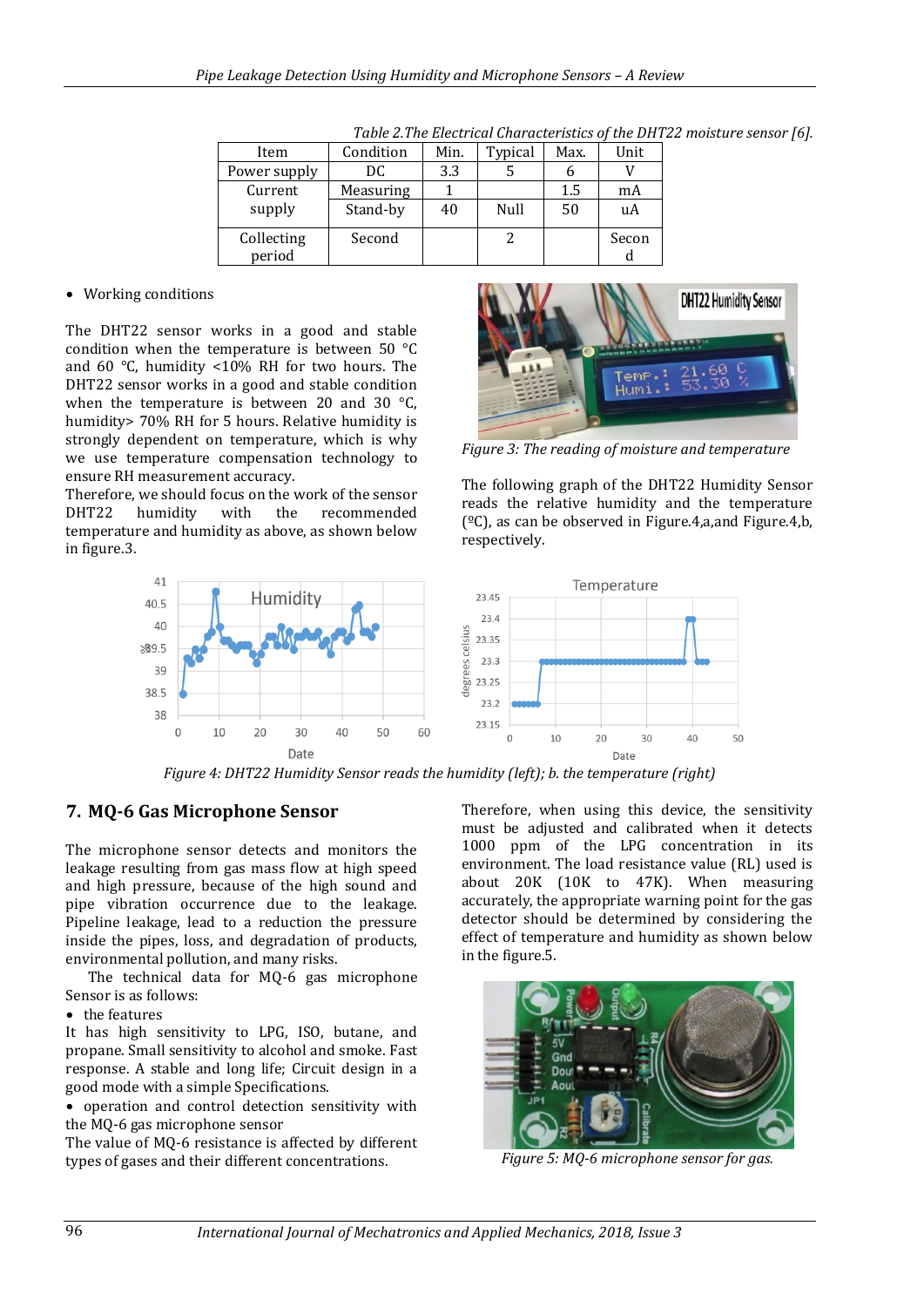| Item         | Condition | Min. | Typical | Max. | Unit  |
|--------------|-----------|------|---------|------|-------|
| Power supply | DC        | 3.3  |         |      |       |
| Current      | Measuring |      |         | 1.5  | mA    |
| supply       | Stand-by  | 40   | Null    | 50   | uA    |
| Collecting   | Second    |      |         |      | Secon |
| period       |           |      |         |      |       |

*Table 2.The Electrical Characteristics of the DHT22 moisture sensor [6].*

#### Working conditions

The DHT22 sensor works in a good and stable condition when the temperature is between 50 °C and 60 °C, humidity <10% RH for two hours. The DHT22 sensor works in a good and stable condition when the temperature is between 20 and 30 °C, humidity> 70% RH for 5 hours. Relative humidity is strongly dependent on temperature, which is why we use temperature compensation technology to ensure RH measurement accuracy.

Therefore, we should focus on the work of the sensor DHT22 humidity with the recommended temperature and humidity as above, as shown below in figure.3.



*Figure 3: The reading of moisture and temperature*

The following graph of the DHT22 Humidity Sensor reads the relative humidity and the temperature  $(°C)$ , as can be observed in Figure.4,a,and Figure.4,b, respectively.



*Figure 4: DHT22 Humidity Sensor reads the humidity (left); b. the temperature (right)*

## **7. MQ-6 Gas Microphone Sensor**

The microphone sensor detects and monitors the leakage resulting from gas mass flow at high speed and high pressure, because of the high sound and pipe vibration occurrence due to the leakage. Pipeline leakage, lead to a reduction the pressure inside the pipes, loss, and degradation of products, environmental pollution, and many risks.

The technical data for MQ-6 gas microphone Sensor is as follows:

• the features

It has high sensitivity to LPG, ISO, butane, and propane. Small sensitivity to alcohol and smoke. Fast response. A stable and long life; Circuit design in a good mode with a simple Specifications.

• operation and control detection sensitivity with the MQ-6 gas microphone sensor

The value of MQ-6 resistance is affected by different types of gases and their different concentrations.

Therefore, when using this device, the sensitivity must be adjusted and calibrated when it detects 1000 ppm of the LPG concentration in its environment. The load resistance value (RL) used is about 20K (10K to 47K). When measuring accurately, the appropriate warning point for the gas detector should be determined by considering the effect of temperature and humidity as shown below in the figure.5.



*Figure 5: MQ-6 microphone sensor for gas.*